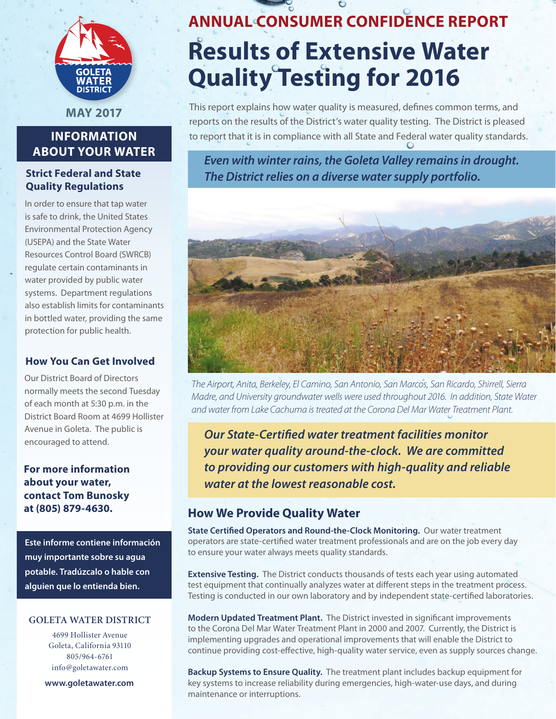

**May 2017**

# **Information About Your Water**

# **Strict Federal and State Quality Regulations**

In order to ensure that tap water is safe to drink, the United States Environmental Protection Agency (USEPA) and the State Water Resources Control Board (SWRCB) regulate certain contaminants in water provided by public water systems. Department regulations also establish limits for contaminants in bottled water, providing the same protection for public health.

## **How You Can Get Involved**

Our District Board of Directors normally meets the second Tuesday of each month at 5:30 p.m. in the District Board Room at 4699 Hollister Avenue in Goleta. The public is encouraged to attend.

**For more information about your water, contact Tom Bunosky at (805) 879-4630.**

**Este informe contiene información muy importante sobre su agua potable. Tradúzcalo o hable con alguien que lo entienda bien.**

#### **Goleta water district**

4699 Hollister Avenue Goleta, California 93110 805/964-6761 info@goletawater.com

**www.goletawater.com**

# **ANNUAL Consumer Confidence Report Results of Extensive Water Quality Testing for 2016**

This report explains how water quality is measured, defines common terms, and reports on the results of the District's water quality testing. The District is pleased to report that it is in compliance with all State and Federal water quality standards.

*Even with winter rains, the Goleta Valley remains in drought. The District relies on a diverse water supply portfolio.* 



*The Airport, Anita, Berkeley, El Camino, San Antonio, San Marcos, San Ricardo, Shirrell, Sierra Madre, and University groundwater wells were used throughout 2016. In addition, State Water and water from Lake Cachuma is treated at the Corona Del Mar Water Treatment Plant.* 

*Our State-Certified water treatment facilities monitor your water quality around-the-clock. We are committed to providing our customers with high-quality and reliable water at the lowest reasonable cost.*

# **How We Provide Quality Water**

**State Certified Operators and Round-the-Clock Monitoring.** Our water treatment operators are state-certified water treatment professionals and are on the job every day to ensure your water always meets quality standards.

**Extensive Testing.** The District conducts thousands of tests each year using automated test equipment that continually analyzes water at different steps in the treatment process. Testing is conducted in our own laboratory and by independent state-certified laboratories.

**Modern Updated Treatment Plant.** The District invested in significant improvements to the Corona Del Mar Water Treatment Plant in 2000 and 2007. Currently, the District is implementing upgrades and operational improvements that will enable the District to continue providing cost-effective, high-quality water service, even as supply sources change.

**Backup Systems to Ensure Quality.** The treatment plant includes backup equipment for key systems to increase reliability during emergencies, high-water-use days, and during maintenance or interruptions.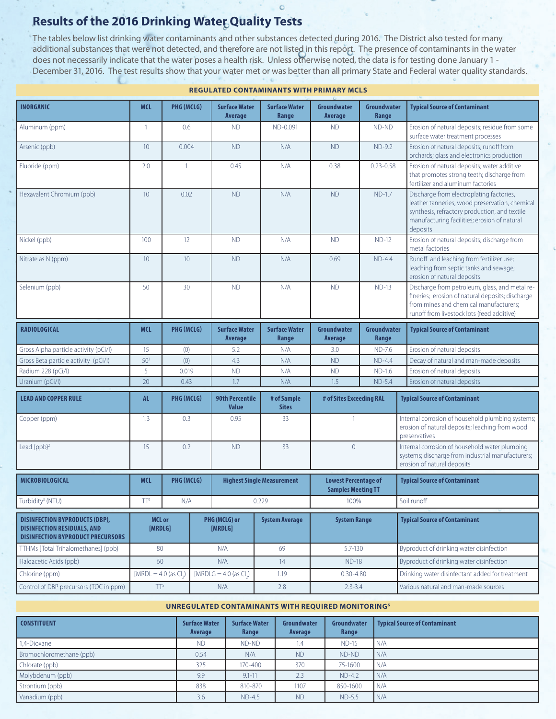# **Results of the 2016 Drinking Water Quality Tests**

The tables below list drinking water contaminants and other substances detected during 2016. The District also tested for many additional substances that were not detected, and therefore are not listed in this report. The presence of contaminants in the water does not necessarily indicate that the water poses a health risk. Unless otherwise noted, the data is for testing done January 1 - December 31, 2016. The test results show that your water met or was better than all primary State and Federal water quality standards.

 $\circ$ 

| <b>INORGANIC</b>                                                                                                        | <b>MCL</b>               | PHG (MCLG)     |                  | <b>Surface Water</b><br>Average        | <b>Surface Water</b><br>Range     | Groundwater<br><b>Average</b>                            | Groundwater<br>Range | <b>Typical Source of Contaminant</b>                                                                                                                                                                    |  |
|-------------------------------------------------------------------------------------------------------------------------|--------------------------|----------------|------------------|----------------------------------------|-----------------------------------|----------------------------------------------------------|----------------------|---------------------------------------------------------------------------------------------------------------------------------------------------------------------------------------------------------|--|
| Aluminum (ppm)                                                                                                          | $\overline{1}$           | 0.6            |                  | <b>ND</b>                              | ND-0.091                          | <b>ND</b>                                                | ND-ND                | Erosion of natural deposits; residue from some<br>surface water treatment processes                                                                                                                     |  |
| Arsenic (ppb)                                                                                                           | 10                       | 0.004          |                  | <b>ND</b>                              | N/A                               | <b>ND</b>                                                | $ND-9.2$             | Erosion of natural deposits; runoff from<br>orchards; glass and electronics production                                                                                                                  |  |
| Fluoride (ppm)                                                                                                          | 2.0                      | $\overline{1}$ |                  | 0.45                                   | N/A                               | 0.38                                                     | $0.23 - 0.58$        | Erosion of natural deposits; water additive<br>that promotes strong teeth; discharge from<br>fertilizer and aluminum factories                                                                          |  |
| Hexavalent Chromium (ppb)                                                                                               | 10                       | 0.02           |                  | <b>ND</b>                              | N/A                               | <b>ND</b>                                                | $ND-1.7$             | Discharge from electroplating factories,<br>leather tanneries, wood preservation, chemical<br>synthesis, refractory production, and textile<br>manufacturing facilities; erosion of natural<br>deposits |  |
| Nickel (ppb)                                                                                                            | 100                      | 12             |                  | <b>ND</b>                              | N/A                               | <b>ND</b>                                                | $ND-12$              | Erosion of natural deposits; discharge from<br>metal factories                                                                                                                                          |  |
| Nitrate as N (ppm)                                                                                                      | 10 <sup>°</sup>          | 10             |                  | <b>ND</b>                              | N/A                               | 0.69                                                     | $ND-4.4$             | Runoff and leaching from fertilizer use;<br>leaching from septic tanks and sewage;<br>erosion of natural deposits                                                                                       |  |
| Selenium (ppb)                                                                                                          | 50                       | 30             |                  | <b>ND</b>                              | N/A                               | <b>ND</b>                                                | $ND-13$              | Discharge from petroleum, glass, and metal re-<br>fineries; erosion of natural deposits; discharge<br>from mines and chemical manufacturers;<br>runoff from livestock lots (feed additive)              |  |
| <b>RADIOLOGICAL</b>                                                                                                     | <b>MCL</b>               | PHG (MCLG)     |                  | <b>Surface Water</b><br>Average        | <b>Surface Water</b><br>Range     | Groundwater<br>Average                                   | Groundwater<br>Range | <b>Typical Source of Contaminant</b>                                                                                                                                                                    |  |
| Gross Alpha particle activity (pCi/l)                                                                                   | 15                       | (0)            |                  | 5.2                                    | N/A                               | 3.0                                                      | ND-7.6               | Erosion of natural deposits                                                                                                                                                                             |  |
| Gross Beta particle activity (pCi/l)                                                                                    | 50 <sup>1</sup>          | (0)            |                  | 4.3                                    | N/A                               | <b>ND</b>                                                | $ND-4.4$             | Decay of natural and man-made deposits                                                                                                                                                                  |  |
| Radium 228 (pCi/l)                                                                                                      | 5                        | 0.019          |                  | <b>ND</b>                              | N/A                               | <b>ND</b>                                                | $ND-1.6$             | Erosion of natural deposits                                                                                                                                                                             |  |
| Uranium (pCi/l)                                                                                                         | 20                       | 0.43           |                  | 1.7                                    | N/A                               | 1.5                                                      | $ND-5.4$             | Erosion of natural deposits                                                                                                                                                                             |  |
| <b>LEAD AND COPPER RULE</b>                                                                                             | <b>AL</b>                | PHG (MCLG)     |                  | <b>90th Percentile</b><br><b>Value</b> | # of Sample<br><b>Sites</b>       | # of Sites Exceeding RAL                                 |                      | <b>Typical Source of Contaminant</b>                                                                                                                                                                    |  |
| Copper (ppm)                                                                                                            | 1.3                      | 0.3            |                  | 0.95                                   | 33                                | $\mathbf{1}$                                             |                      | Internal corrosion of household plumbing systems;<br>erosion of natural deposits; leaching from wood<br>preservatives                                                                                   |  |
| Lead (ppb) <sup>2</sup>                                                                                                 | 15                       |                | 0.2<br><b>ND</b> |                                        | 33                                | $\overline{0}$                                           |                      | Internal corrosion of household water plumbing<br>systems; discharge from industrial manufacturers;<br>erosion of natural deposits                                                                      |  |
| MICROBIOLOGICAL                                                                                                         | <b>MCL</b>               | PHG (MCLG)     |                  |                                        | <b>Highest Single Measurement</b> | <b>Lowest Percentage of</b><br><b>Samples Meeting TT</b> |                      | <b>Typical Source of Contaminant</b>                                                                                                                                                                    |  |
| Turbidity <sup>3</sup> (NTU)                                                                                            | TT <sup>4</sup>          | N/A            |                  |                                        | 0.229                             | 100%                                                     |                      | Soil runoff                                                                                                                                                                                             |  |
| <b>DISINFECTION BYPRODUCTS (DBP),</b><br><b>DISINFECTION RESIDUALS, AND</b><br><b>DISINFECTION BYPRODUCT PRECURSORS</b> | <b>MCL or</b><br>[MRDLG] |                |                  | PHG (MCLG) or<br>[MRDLG]               | <b>System Average</b>             | <b>System Range</b>                                      |                      | <b>Typical Source of Contaminant</b>                                                                                                                                                                    |  |
| TTHMs [Total Trihalomethanes] (ppb)                                                                                     | 80                       |                | N/A              |                                        | 69                                | $5.7 - 130$                                              |                      | Byproduct of drinking water disinfection                                                                                                                                                                |  |
| Haloacetic Acids (ppb)                                                                                                  | 60                       |                | N/A              |                                        | 14                                | $ND-18$                                                  |                      | Byproduct of drinking water disinfection                                                                                                                                                                |  |
| Chlorine (ppm)                                                                                                          | $[MRDL = 4.0$ (as Cl.)   |                |                  | $[MRDLG = 4.0$ (as Cl.)                | 1.19                              | $0.30 - 4.80$                                            |                      | Drinking water disinfectant added for treatment                                                                                                                                                         |  |
| Control of DBP precursors (TOC in ppm)                                                                                  | TT <sup>5</sup>          |                |                  | N/A                                    | 2.8                               | $2.3 - 3.4$                                              |                      | Various natural and man-made sources                                                                                                                                                                    |  |

**Regulated Contaminants with Primary MCLS**

#### **UNRegulated Contaminants with REQUIRED MONITORING6**

| <b>CONSTITUENT</b>       | <b>Surface Water</b><br>Average | <b>Surface Water</b><br>Range | Groundwater<br>Average | Groundwater<br>Range | <b>Typical Source of Contaminant</b> |
|--------------------------|---------------------------------|-------------------------------|------------------------|----------------------|--------------------------------------|
| 1,4-Dioxane              | <b>ND</b>                       | ND-ND                         | $\mathsf{I}A$          | $ND-15$              | N/A                                  |
| Bromochloromethane (ppb) | 0.54                            | N/A                           | <b>ND</b>              | ND-ND                | N/A                                  |
| Chlorate (ppb)           | 325                             | 170-400                       | 370                    | 75-1600              | N/A                                  |
| Molybdenum (ppb)         | 9.9                             | $9.1 - 11$                    | 2.3                    | $ND-4.2$             | N/A                                  |
| Strontium (ppb)          | 838                             | 810-870                       | 1107                   | 850-1600             | N/A                                  |
| Vanadium (ppb)           | 3.6                             | $ND-4.5$                      | <b>ND</b>              | <b>ND-5.5</b>        | N/A                                  |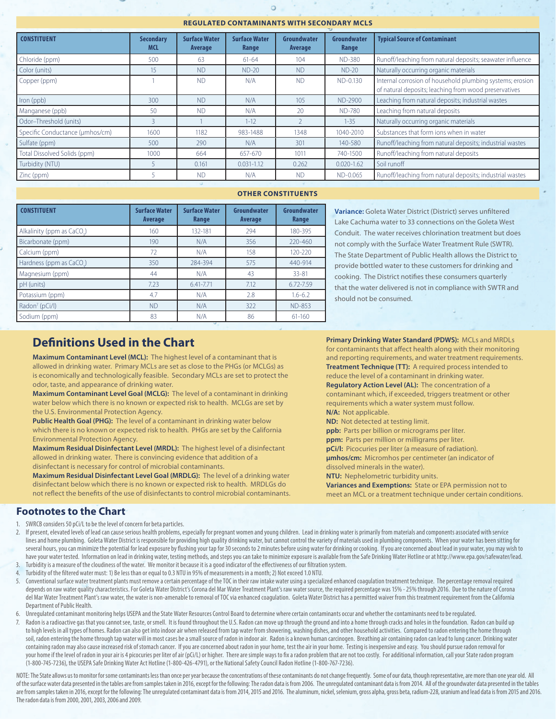#### **Regulated Contaminants with Secondary MCLS**

ö

| <b>CONSTITUENT</b>              | <b>Secondary</b><br><b>MCL</b> | <b>Surface Water</b><br>Average | <b>Surface Water</b><br>Range | Groundwater<br>Average | Groundwater<br>Range | <b>Typical Source of Contaminant</b>                                                                               |  |
|---------------------------------|--------------------------------|---------------------------------|-------------------------------|------------------------|----------------------|--------------------------------------------------------------------------------------------------------------------|--|
| Chloride (ppm)                  | 500                            | 63                              | $61 - 64$                     | 104                    | <b>ND-380</b>        | Runoff/leaching from natural deposits; seawater influence                                                          |  |
| Color (units)                   | 15                             | <b>ND</b>                       | $ND-20$                       | <b>ND</b>              | $ND-20$              | Naturally occurring organic materials                                                                              |  |
| Copper (ppm)                    |                                | <b>ND</b>                       | N/A                           | <b>ND</b>              | ND-0.130             | Internal corrosion of household plumbing systems; erosion<br>of natural deposits; leaching from wood preservatives |  |
| Iron (ppb)                      | 300                            | <b>ND</b>                       | N/A                           | 105                    | ND-2900              | Leaching from natural deposits; industrial wastes                                                                  |  |
| Manganese (ppb)                 | 50                             | <b>ND</b>                       | N/A                           | 20                     | <b>ND-780</b>        | Leaching from natural deposits                                                                                     |  |
| Odor-Threshold (units)          | $\overline{3}$                 |                                 | $1 - 12$                      |                        | $1 - 35$             | Naturally occurring organic materials                                                                              |  |
| Specific Conductance (umhos/cm) | 1600                           | 1182                            | 983-1488                      | 1348                   | 1040-2010            | Substances that form ions when in water                                                                            |  |
| Sulfate (ppm)                   | 500                            | 290                             | N/A                           | 301                    | 140-580              | Runoff/leaching from natural deposits; industrial wastes                                                           |  |
| Total Dissolved Solids (ppm)    | 1000                           | 664                             | 657-670                       | 1011                   | 740-1500             | Runoff/leaching from natural deposits                                                                              |  |
| Turbidity (NTU)                 |                                | 0.161                           | $0.031 - 1.12$                | 0.262                  | $0.020 - 1.62$       | Soil runoff                                                                                                        |  |
| Zinc (ppm)                      |                                | <b>ND</b>                       | N/A                           | <b>ND</b>              | ND-0.065             | Runoff/leaching from natural deposits; industrial wastes                                                           |  |
|                                 |                                |                                 |                               |                        |                      |                                                                                                                    |  |

#### **OTHER CONSTITUENTS**

| <b>CONSTITUENT</b>                   | <b>Surface Water</b><br><b>Average</b> | <b>Surface Water</b><br>Range | Groundwater<br><b>Average</b> | Groundwater<br>Range |
|--------------------------------------|----------------------------------------|-------------------------------|-------------------------------|----------------------|
| Alkalinity (ppm as CaCO.)            | 160                                    | 132-181                       | 294                           | 180-395              |
| Bicarbonate (ppm)                    | 190                                    | N/A                           | 356                           | 220-460              |
| Calcium (ppm)                        | 72                                     | N/A                           | 158                           | $120 - 220$          |
| Hardness (ppm as CaCO <sub>2</sub> ) | 350                                    | 284-394                       | 575                           | 440-914              |
| Magnesium (ppm)                      | 44                                     | N/A                           | 43                            | 33-81                |
| pH (units)                           | 7.23                                   | 6.41-7.71                     | 7.12                          | 6.72-7.59            |
| Potassium (ppm)                      | 4.7                                    | N/A                           | 2.8                           | $1.6 - 6.2$          |
| Radon <sup>7</sup> (pCi/l)           | <b>ND</b>                              | N/A                           | 322                           | <b>ND-853</b>        |
| Sodium (ppm)                         | 83                                     | N/A                           | 86                            | $61 - 160$           |

**Variance:** Goleta Water District (District) serves unfiltered Lake Cachuma water to 33 connections on the Goleta West Conduit. The water receives chlorination treatment but does not comply with the Surface Water Treatment Rule (SWTR). The State Department of Public Health allows the District to provide bottled water to these customers for drinking and cooking. The District notifies these consumers quarterly that the water delivered is not in compliance with SWTR and should not be consumed.

# **Definitions Used in the Chart**

**Maximum Contaminant Level (MCL):** The highest level of a contaminant that is allowed in drinking water. Primary MCLs are set as close to the PHGs (or MCLGs) as is economically and technologically feasible. Secondary MCLs are set to protect the odor, taste, and appearance of drinking water.

**Maximum Contaminant Level Goal (MCLG):** The level of a contaminant in drinking water below which there is no known or expected risk to health. MCLGs are set by the U.S. Environmental Protection Agency.

**Public Health Goal (PHG):** The level of a contaminant in drinking water below which there is no known or expected risk to health. PHGs are set by the California Environmental Protection Agency.

**Maximum Residual Disinfectant Level (MRDL):** The highest level of a disinfectant allowed in drinking water. There is convincing evidence that addition of a disinfectant is necessary for control of microbial contaminants.

**Maximum Residual Disinfectant Level Goal (MRDLG):** The level of a drinking water disinfectant below which there is no known or expected risk to health. MRDLGs do not reflect the benefits of the use of disinfectants to control microbial contaminants. **Primary Drinking Water Standard (PDWS):** MCLs and MRDLs for contaminants that affect health along with their monitoring and reporting requirements, and water treatment requirements. **Treatment Technique (TT):** A required process intended to reduce the level of a contaminant in drinking water. **Regulatory Action Level (AL):** The concentration of a contaminant which, if exceeded, triggers treatment or other requirements which a water system must follow. **N/A:** Not applicable.

**ND:** Not detected at testing limit.

**ppb:** Parts per billion or micrograms per liter.

**ppm:** Parts per million or milligrams per liter.

**pCi/l:** Picocuries per liter (a measure of radiation). **μmhos/cm:** Micromhos per centimeter (an indicator of dissolved minerals in the water).

**NTU:** Nephelometric turbidity units. **Variances and Exemptions:** State or EPA permission not to meet an MCL or a treatment technique under certain conditions.

#### **Footnotes to the Chart**

- 1. SWRCB considers 50 pCi/L to be the level of concern for beta particles.
- 2. If present, elevated levels of lead can cause serious health problems, especially for pregnant women and young children. Lead in drinking water is primarily from materials and components associated with service lines and home plumbing. Goleta Water District is responsible for providing high quality drinking water, but cannot control the variety of materials used in plumbing components. When your water has been sitting for several hours, you can minimize the potential for lead exposure by flushing your tap for 30 seconds to 2 minutes before using water for drinking or cooking. If you are concerned about lead in your water, you may wish to have your water tested. Information on lead in drinking water, testing methods, and steps you can take to minimize exposure is available from the Safe Drinking Water Hotline or at http://www.epa.gov/safewater/lead. 3. Turbidity is a measure of the cloudiness of the water. We monitor it because it is a good indicator of the effectiveness of our filtration system.
- 4. Turbidity of the filtered water must: 1) Be less than or equal to 0.3 NTU in 95% of measurements in a month; 2) Not exceed 1.0 NTU.
- 5. Conventional surface water treatment plants must remove a certain percentage of the TOC in their raw intake water using a specialized enhanced coagulation treatment technique. The percentage removal required depends on raw water quality characteristics. For Goleta Water District's Corona del Mar Water Treatment Plant's raw water source, the required percentage was 15% - 25% through 2016. Due to the nature of Corona del Mar Water Treatment Plant's raw water, the water is non-amenable to removal of TOC via enhanced coagulation. Goleta Water District has a permitted waiver from this treatment requirement from the California Department of Public Health.
- 6. Unregulated contaminant monitoring helps USEPA and the State Water Resources Control Board to determine where certain contaminants occur and whether the contaminants need to be regulated.
- Radon is a radioactive gas that you cannot see, taste, or smell. It is found throughout the U.S. Radon can move up through the ground and into a home through cracks and holes in the foundation. Radon can build up to high levels in all types of homes. Radon can also get into indoor air when released from tap water from showering, washing dishes, and other household activities. Compared to radon entering the home through soil, radon entering the home through tap water will in most cases be a small source of radon in indoor air. Radon is a known human carcinogen. Breathing air containing radon can lead to lung cancer. Drinking water containing radon may also cause increased risk of stomach cancer. If you are concerned about radon in your home, test the air in your home. Testing is inexpensive and easy. You should pursue radon removal for your home if the level of radon in your air is 4 picocuries per liter of air (pCi/L) or higher. There are simple ways to fix a radon problem that are not too costly. For additional information, call your State radon progra (1-800-745-7236), the USEPA Safe Drinking Water Act Hotline (1-800-426-4791), or the National Safety Council Radon Hotline (1-800-767-7236).

NOTE: The State allows us to monitor for some contaminants less than once per year because the concentrations of these contaminants do not change frequently. Some of our data, though representative, are more than one year of the surface water data presented in the tables are from samples taken in 2016, except for the following: The radon data is from 2006. The unregulated contaminant data is from 2014. All of the groundwater data presented are from samples taken in 2016, except for the following: The unregulated contaminant data is from 2014, 2015 and 2016. The aluminum, nickel, selenium, gross alpha, gross beta, radium-228, uranium and lead data is from 201 The radon data is from 2000, 2001, 2003, 2006 and 2009.